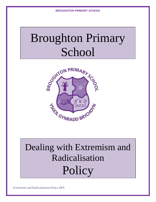# Broughton Primary School



# Dealing with Extremism and Radicalisation **Policy**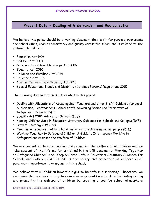# **Prevent Duty - Dealing with Extremism and Radicalisation**

We believe this policy should be a working document that is fit for purpose, represents the school ethos, enables consistency and quality across the school and is related to the following legislation:

- **Education Act 1996**
- Children Act 2004
- Safeguarding Vulnerable Groups Act 2006
- **Equality Act 2010**
- Children and Families Act 2014
- **F**ducation Act 2011
- Counter Terrorism and Security Act 2015
- Special Educational Needs and Disability (Detained Persons) Regulations 2015

The following documentation is also related to this policy:

- Dealing with Allegations of Abuse against Teachers and other Staff: Guidance for Local Authorities, Headteachers, School Staff, Governing Bodies and Proprietors of Independent Schools (DfE)
- **Equality Act 2010: Advice for Schools (DfE)**
- **EXEGPT And Children Safe in Education: Statutory Guidance for Schools and Colleges (DfE)**
- **Prevent Strategy (HM Gov)**
- Teaching approaches that help build resilience to extremism among people (DfE)
- Working Together to Safeguard Children: A Guide to Inter-agency Working to Safeguard and Promote the Welfare of Children

We are committed to safeguarding and promoting the welfare of all children and we take account of the information contained in the DfE documents 'Working Together to Safeguard Children' and 'Keep Children Safe in Education: Statutory Guidance for Schools and Colleges (DfE 2015)' as the safety and protection of children is of paramount importance to everyone in this school.

We believe that all children have the right to be safe in our society. Therefore, we recognise that we have a duty to ensure arrangements are in place for safeguarding and promoting the welfare of children by creating a positive school atmosphere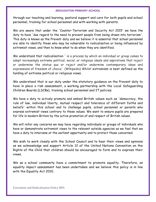through our teaching and learning, pastoral support and care for both pupils and school personnel, training for school personnel and with working with parents.

We are aware that under the 'Counter-Terrorism and Security Act 2015' we have the duty to have 'due regard to the need to prevent people from being drawn into terrorism'. This duty is known as the Prevent duty and we believe it is essential that school personnel are able to identify those who may be vulnerable to radicalisation or being influenced by extremist views, and then to know what to do when they are identified.

We understand that radicalisation ' is a process by which an individual or group comes to adopt increasingly extreme political, social, or religious ideals and aspirations that reject or undermine the status quo or reject and/or undermine contemporary ideas and expressions of freedom of choice'. (Wikipedia) Whilst extremism is best defined as the holding of extreme political or religious views.

We understand that is our duty under the statutory guidance on the Prevent duty to have in place a risk assessment, a working partnership with the Local Safeguarding Children Boards (LSCBs), training school personnel and IT policies.

We have a duty to actively promote and embed British values such as 'democracy, the rule of law, individual liberty, mutual respect and tolerance of different faiths and beliefs' within this school and to challenge pupils, school personnel or parents who express extremist views contrary to these values. We want to ensure pupils are prepared for life in modern Britain by the active promotion of and respect of British values.

We will refer any concerns we may have regarding individuals or groups of individuals who have or demonstrate extremist views to the relevant outside agencies as we feel that we have a duty to intervene at the earliest opportunity and to protect those concerned.

We wish to work closely with the School Council and to hear their views and opinions as we acknowledge and support Article 12 of the United Nations Convention on the Rights of the Child that children should be encouraged to form and to express their views.

We as a school community have a commitment to promote equality. Therefore, an equality impact assessment has been undertaken and we believe this policy is in line with the Equality Act 2010.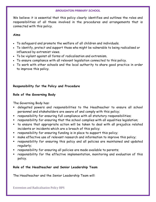We believe it is essential that this policy clearly identifies and outlines the roles and responsibilities of all those involved in the procedures and arrangements that is connected with this policy.

# **Aims**

- To safeguard and promote the welfare of all children and individuals.
- To identify, protect and support those who might be vulnerable to being radicalised or influenced by extremist views.
- To be vigilant against all forms of radicalisation and extremism.
- To ensure compliance with all relevant legislation connected to this policy.
- To work with other schools and the local authority to share good practice in order to improve this policy.

# **Responsibility for the Policy and Procedure**

# **Role of the Governing Body**

The Governing Body has:

- delegated powers and responsibilities to the Headteacher to ensure all school personnel and stakeholders are aware of and comply with this policy;
- responsibility for ensuring full compliance with all statutory responsibilities;
- responsibility for ensuring that the school complies with all equalities legislation;
- to ensure that appropriate action will be taken to deal with all prejudice related incidents or incidents which are a breach of this policy;
- responsibility for ensuring funding is in place to support this policy;
- make effective use of relevant research and information to improve this policy;
- responsibility for ensuring this policy and all policies are maintained and updated regularly;
- responsibility for ensuring all policies are made available to parents;
- responsibility for the effective implementation, monitoring and evaluation of this policy.

# **Role of the Headteacher and Senior Leadership Team**

The Headteacher and the Senior Leadership Team will: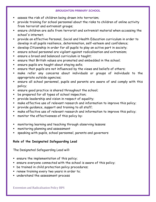- assess the risk of children being drawn into terrorism;
- provide training for school personnel about the risks to children of online activity from terrorist and extremist groups;
- ensure children are safe from terrorist and extremist material when accessing the school's internet;
- provide an effective Personal, Social and Health Education curriculum in order to develop in all pupils resilience, determination, self-esteem and confidence;
- develop Citizenship in order for all pupils to play an active part in society;
- ensure school personnel are vigilant against radicalisation and extremism;
- ensure a broad and balanced curriculum is taught;
- ensure that British values are promoted and embedded in the school;
- ensure pupils are taught about staying safe;
- ensure that pupils are not influenced by the views and beliefs of others;
- make refer any concerns about individuals or groups of individuals to the appropriate outside agencies;
- ensure all school personnel, pupils and parents are aware of and comply with this policy;
- ensure good practice is shared throughout the school;
- be prepared for all types of school inspection;
- provide leadership and vision in respect of equality;
- make effective use of relevant research and information to improve this policy;
- provide guidance, support and training to all staff;
- make effective use of relevant research and information to improve this policy;
- monitor the effectiveness of this policy by:
- monitoring learning and teaching through observing lessons
- monitoring planning and assessment
- speaking with pupils, school personnel, parents and governors

# **Role of the Designated Safeguarding Lead**

The Designated Safeguarding Lead will:

- **EXECUTE:** ensure the implementation of this policy;
- ensure everyone connected with the school is aware of this policy;
- **be trained in child protection policy procedures;**
- **Peace 1** renew training every two years in order to;
- understand the assessment process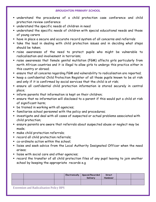- understand the procedures of a child protection case conference and child protection review conference
- understand the specific needs of children in need
- understand the specific needs of children with special educational needs and those of young carers
- have in place a secure and accurate record system of all concerns and referrals
- take the lead in dealing with child protection issues and in deciding what steps should be taken;
- raise awareness of the need to protect pupils who might be vulnerable to radicalisation and involvement in terrorism;
- raise awareness that female genital mutilation (FGM) affects girls particularly from north African countries and it is illegal to allow girls to undergo this practice either in this country or abroad;
- ensure that all concerns regarding FGM and vulnerability to radicalisation are reported;
- **EXECT A confidential Child Protection Register of all those pupils known to be at risk** and only if it is confirmed by social services that the child is at risk;
- ensure all confidential child protection information is stored securely in central place;
- inform parents that information is kept on their children;
- ensure that no information will disclosed to a parent if this would put a child at risk of significant harm;
- **•** be trained in working with all agencies;
- familiarise school personnel with the policy and procedures;
- investigate and deal with all cases of suspected or actual problems associated with child protection;
- ensure parents are aware that referrals about suspected abuse or neglect may be made;
- make child protection referrals;
- **Pecord all child protection referrals;**
- co-ordinate action within the school;
- liaise and seek advice from the Local Authority Designated Officer when the need arises;
- I liaise with social care and other agencies;
- record the transfer of all child protection files of any pupil leaving to join another school by keeping the appropriate records e.g

|  |  | Electronically   Special/Recorded<br>Delivery | Direct<br>Handover |  |
|--|--|-----------------------------------------------|--------------------|--|
|  |  |                                               |                    |  |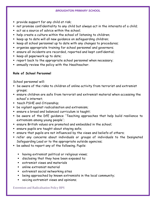- provide support for any child at risk;
- not promise confidentiality to any child but always act in the interests of a child;
- act as a source of advice within the school;
- help create a culture within the school of listening to children;
- **E** keep up to date will all new guidance on safeguarding children;
- keep all school personnel up to date with any changes to procedures;
- organise appropriate training for school personnel and governors;
- ensure all incidents are recorded, reported and kept confidential;
- **EXECTED All paperwork up to date;**
- report back to the appropriate school personnel when necessary;
- annually review the policy with the Headteacher.

# **Role of School Personnel**

School personnel will:

- be aware of the risks to children of online activity from terrorist and extremist groups;
- ensure children are safe from terrorist and extremist material when accessing the school's internet;
- **teach PSHE and Citizenship;**
- be vigilant against radicalisation and extremism;
- ensure a broad and balanced curriculum is taught;
- be aware of the DfE guidance 'Teaching approaches that help build resilience to extremism among young people';
- ensure British values are promoted and embedded in the school;
- ensure pupils are taught about staying safe;
- ensure that pupils are not influenced by the views and beliefs of others;
- refer any concerns about individuals or groups of individuals to the Designated Safeguarding Lead or to the appropriate outside agencies;
- be asked to report any of the following. Pupils:
	- **•** having extremist political or religious views;
	- disclosing that they have been exposed to:
	- extremist views and materials
	- online extremist material
	- extremist social networking sites
	- being approached by known extremists in the local community;
	- voicing extremist views and opinions;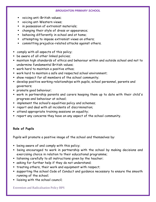- voicing anti-British values;
- voicing ant-Western views;
- $\blacksquare$  in possession of extremist materials;
- changing their style of dress or appearance;
- behaving differently in school and at home;
- **EXECT** attempting to impose extremist views on others;
- committing prejudice-related attacks against others.
- comply with all aspects of this policy;
- **B** be aware of all other linked policies;
- maintain high standards of ethics and behaviour within and outside school and not to undermine fundamental British values;
- work hard to maintain a positive ethos;
- work hard to maintain a safe and respected school environment;
- show respect for all members of the school community;
- develop positive working relationships with pupils, school personnel, parents and governors;
- promote good behaviour;
- work in partnership parents and carers keeping them up to date with their child's progress and behaviour at school;
- **EX implement the school's equalities policy and schemes;**
- report and deal with all incidents of discrimination;
- attend appropriate training sessions on equality;
- report any concerns they have on any aspect of the school community.

# **Role of Pupils**

Pupils will promote a positive image of the school and themselves by:

- **E** being aware of and comply with this policy;
- being encouraged to work in partnership with the school by making decisions and exercising choice in relation to their educational programme;
- **Example 1** istening carefully to all instructions given by the teacher;
- asking for further help if they do not understand;
- **treating others, their work and equipment with respect;**
- supporting the school Code of Conduct and guidance necessary to ensure the smooth running of the school;
- **Example 1 in inter in the school council;**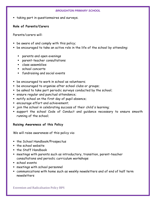**taking part in questionnaires and surveys.** 

# **Role of Parents/Carers**

Parents/carers will:

- be aware of and comply with this policy;
- be encouraged to take an active role in the life of the school by attending:
	- parents and open evenings
	- parent-teacher consultations
	- class assemblies
	- school concerts
	- fundraising and social events
- **De encouraged to work in school as volunteers;**
- be encouraged to organise after school clubs or groups;
- be asked to take part periodic surveys conducted by the school;
- ensure regular and punctual attendance;
- notify school on the first day of pupil absence;
- encourage effort and achievement;
- join the school in celebrating success of their child's learning;
- support the school Code of Conduct and guidance necessary to ensure smooth running of the school;

# **Raising Awareness of this Policy**

We will raise awareness of this policy via:

- **The School Handbook/Prospectus**
- $\blacksquare$  the school website
- **the Staff Handbook**
- meetings with parents such as introductory, transition, parent-teacher consultations and periodic curriculum workshops
- school events
- meetings with school personnel
- communications with home such as weekly newsletters and of end of half term newsletters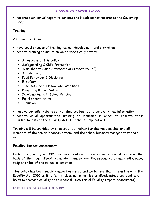reports such annual report to parents and Headteacher reports to the Governing Body

# **Training**

All school personnel:

- have equal chances of training, career development and promotion
- receive training on induction which specifically covers:
	- All aspects of this policy
	- Safeguarding & Child Protection
	- Workshop to Raise Awareness of Prevent (WRAP)
	- Anti-bullying
	- **Pupil Behaviour & Discipline**
	- E-Safety
	- **Exercise Internet Social Networking Websites**
	- **Promoting British Values**
	- **EXECT:** Involving Pupils in School Policies
	- **Equal opportunities**
	- **Inclusion**
- receive periodic training so that they are kept up to date with new information
- receive equal opportunities training on induction in order to improve their understanding of the Equality Act 2010 and its implications.

Training will be provided by an accredited trainer for the Headteacher and all members of the senior leadership team, and the school business manager that deals with:

# **Equality Impact Assessment**

Under the Equality Act 2010 we have a duty not to discriminate against people on the basis of their age, disability, gender, gender identity, pregnancy or maternity, race, religion or belief and sexual orientation.

This policy has been equality impact assessed and we believe that it is in line with the Equality Act 2010 as it is fair, it does not prioritise or disadvantage any pupil and it helps to promote equality at this school. (See Initial Equality Impact Assessment)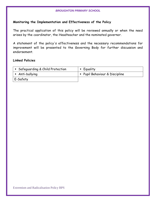#### **Monitoring the Implementation and Effectiveness of the Policy**

The practical application of this policy will be reviewed annually or when the need arises by the coordinator, the Headteacher and the nominated governor.

A statement of the policy's effectiveness and the necessary recommendations for improvement will be presented to the Governing Body for further discussion and endorsement.

#### **Linked Policies**

| • Safeguarding & Child Protection | • Equality                   |
|-----------------------------------|------------------------------|
| $\blacksquare$ Anti-bullying      | Pupil Behaviour & Discipline |
| E-Safety                          |                              |